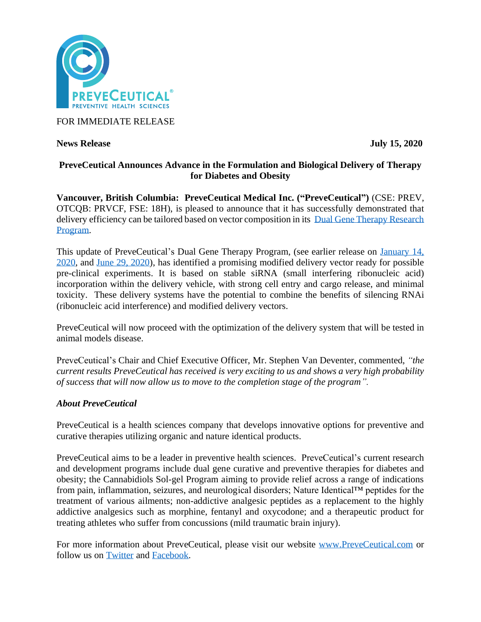

FOR IMMEDIATE RELEASE

## **News Release** July 15, 2020

## **PreveCeutical Announces Advance in the Formulation and Biological Delivery of Therapy for Diabetes and Obesity**

**Vancouver, British Columbia: PreveCeutical Medical Inc. ("PreveCeutical")** (CSE: PREV, OTCQB: PRVCF, FSE: 18H), is pleased to announce that it has successfully demonstrated that delivery efficiency can be tailored based on vector composition in its Dual Gene Therapy Research [Program.](https://www.preveceutical.com/pipeline/dual-gene-therapy/)

This update of PreveCeutical's Dual Gene Therapy Program, (see earlier release on [January 14,](https://www.preveceutical.com/investors/news/preveceutical-announces-further-updates-to-the-successful-engineering--cell-based-efficacy-screening-of-its-smart-sirna-constructs-for-its-dual-gene-therapy-research-program)  [2020,](https://www.preveceutical.com/investors/news/preveceutical-announces-further-updates-to-the-successful-engineering--cell-based-efficacy-screening-of-its-smart-sirna-constructs-for-its-dual-gene-therapy-research-program) and [June 29, 2020\)](https://www.preveceutical.com/investors/news/preveceutical-announces-promising-3d-liver-tissue-testing-of-potential-therapy-for-diabetes--obesity), has identified a promising modified delivery vector ready for possible pre-clinical experiments. It is based on stable siRNA (small interfering ribonucleic acid) incorporation within the delivery vehicle, with strong cell entry and cargo release, and minimal toxicity. These delivery systems have the potential to combine the benefits of silencing RNAi (ribonucleic acid interference) and modified delivery vectors.

PreveCeutical will now proceed with the optimization of the delivery system that will be tested in animal models disease.

PreveCeutical's Chair and Chief Executive Officer, Mr. Stephen Van Deventer, commented, *"the current results PreveCeutical has received is very exciting to us and shows a very high probability of success that will now allow us to move to the completion stage of the program".*

# *About PreveCeutical*

PreveCeutical is a health sciences company that develops innovative options for preventive and curative therapies utilizing organic and nature identical products.

PreveCeutical aims to be a leader in preventive health sciences. PreveCeutical's current research and development programs include dual gene curative and preventive therapies for diabetes and obesity; the Cannabidiols Sol-gel Program aiming to provide relief across a range of indications from pain, inflammation, seizures, and neurological disorders; Nature Identical™ peptides for the treatment of various ailments; non-addictive analgesic peptides as a replacement to the highly addictive analgesics such as morphine, fentanyl and oxycodone; and a therapeutic product for treating athletes who suffer from concussions (mild traumatic brain injury).

For more information about PreveCeutical, please visit our website [www.PreveCeutical.com](http://www.preveceutical.com/) or follow us on [Twitter](http://twitter.com/PreveCeuticals) and [Facebook.](http://www.facebook.com/PreveCeutical)